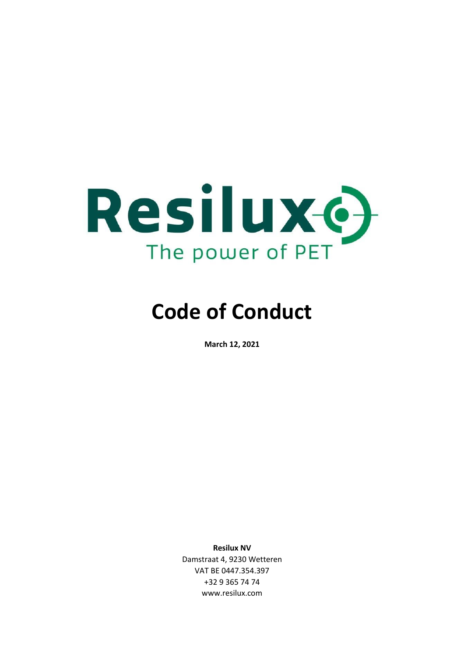

# **Code of Conduct**

**March 12, 2021** 

**Resilux NV**  Damstraat 4, 9230 Wetteren VAT BE 0447.354.397 +32 9 365 74 74 www.resilux.com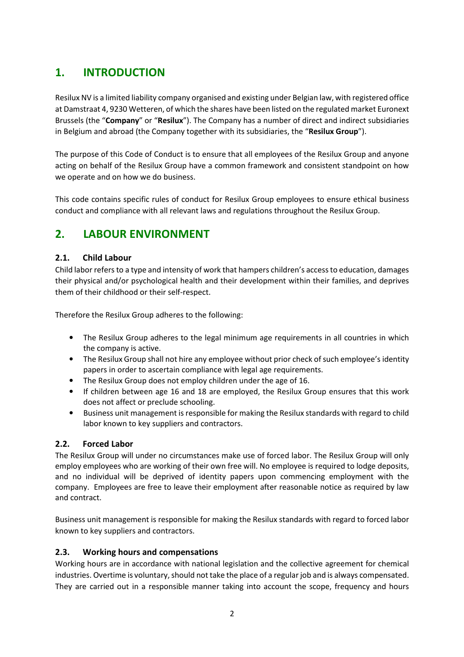# **1. INTRODUCTION**

Resilux NV is a limited liability company organised and existing under Belgian law, with registered office at Damstraat 4, 9230 Wetteren, of which the shares have been listed on the regulated market Euronext Brussels (the "**Company**" or "**Resilux**"). The Company has a number of direct and indirect subsidiaries in Belgium and abroad (the Company together with its subsidiaries, the "**Resilux Group**").

The purpose of this Code of Conduct is to ensure that all employees of the Resilux Group and anyone acting on behalf of the Resilux Group have a common framework and consistent standpoint on how we operate and on how we do business.

This code contains specific rules of conduct for Resilux Group employees to ensure ethical business conduct and compliance with all relevant laws and regulations throughout the Resilux Group.

# **2. LABOUR ENVIRONMENT**

#### **2.1. Child Labour**

Child labor refers to a type and intensity of work that hampers children's access to education, damages their physical and/or psychological health and their development within their families, and deprives them of their childhood or their self-respect.

Therefore the Resilux Group adheres to the following:

- The Resilux Group adheres to the legal minimum age requirements in all countries in which the company is active.
- The Resilux Group shall not hire any employee without prior check of such employee's identity papers in order to ascertain compliance with legal age requirements.
- The Resilux Group does not employ children under the age of 16.
- If children between age 16 and 18 are employed, the Resilux Group ensures that this work does not affect or preclude schooling.
- Business unit management is responsible for making the Resilux standards with regard to child labor known to key suppliers and contractors.

## **2.2. Forced Labor**

The Resilux Group will under no circumstances make use of forced labor. The Resilux Group will only employ employees who are working of their own free will. No employee is required to lodge deposits, and no individual will be deprived of identity papers upon commencing employment with the company. Employees are free to leave their employment after reasonable notice as required by law and contract.

Business unit management is responsible for making the Resilux standards with regard to forced labor known to key suppliers and contractors.

#### **2.3. Working hours and compensations**

Working hours are in accordance with national legislation and the collective agreement for chemical industries. Overtime is voluntary, should not take the place of a regular job and is always compensated. They are carried out in a responsible manner taking into account the scope, frequency and hours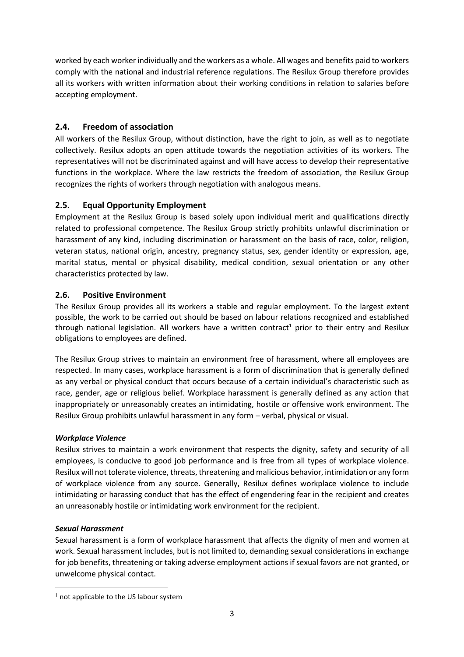worked by each worker individually and the workers as a whole. All wages and benefits paid to workers comply with the national and industrial reference regulations. The Resilux Group therefore provides all its workers with written information about their working conditions in relation to salaries before accepting employment.

# **2.4. Freedom of association**

All workers of the Resilux Group, without distinction, have the right to join, as well as to negotiate collectively. Resilux adopts an open attitude towards the negotiation activities of its workers. The representatives will not be discriminated against and will have access to develop their representative functions in the workplace. Where the law restricts the freedom of association, the Resilux Group recognizes the rights of workers through negotiation with analogous means.

# **2.5. Equal Opportunity Employment**

Employment at the Resilux Group is based solely upon individual merit and qualifications directly related to professional competence. The Resilux Group strictly prohibits unlawful discrimination or harassment of any kind, including discrimination or harassment on the basis of race, color, religion, veteran status, national origin, ancestry, pregnancy status, sex, gender identity or expression, age, marital status, mental or physical disability, medical condition, sexual orientation or any other characteristics protected by law.

# **2.6. Positive Environment**

The Resilux Group provides all its workers a stable and regular employment. To the largest extent possible, the work to be carried out should be based on labour relations recognized and established through national legislation. All workers have a written contract<sup>1</sup> prior to their entry and Resilux obligations to employees are defined.

The Resilux Group strives to maintain an environment free of harassment, where all employees are respected. In many cases, workplace harassment is a form of discrimination that is generally defined as any verbal or physical conduct that occurs because of a certain individual's characteristic such as race, gender, age or religious belief. Workplace harassment is generally defined as any action that inappropriately or unreasonably creates an intimidating, hostile or offensive work environment. The Resilux Group prohibits unlawful harassment in any form – verbal, physical or visual.

## *Workplace Violence*

Resilux strives to maintain a work environment that respects the dignity, safety and security of all employees, is conducive to good job performance and is free from all types of workplace violence. Resilux will not tolerate violence, threats, threatening and malicious behavior, intimidation or any form of workplace violence from any source. Generally, Resilux defines workplace violence to include intimidating or harassing conduct that has the effect of engendering fear in the recipient and creates an unreasonably hostile or intimidating work environment for the recipient.

## *Sexual Harassment*

l

Sexual harassment is a form of workplace harassment that affects the dignity of men and women at work. Sexual harassment includes, but is not limited to, demanding sexual considerations in exchange for job benefits, threatening or taking adverse employment actions if sexual favors are not granted, or unwelcome physical contact.

 $<sup>1</sup>$  not applicable to the US labour system</sup>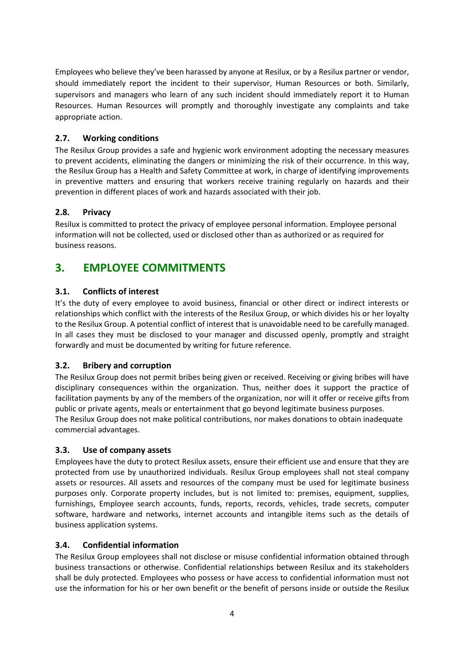Employees who believe they've been harassed by anyone at Resilux, or by a Resilux partner or vendor, should immediately report the incident to their supervisor, Human Resources or both. Similarly, supervisors and managers who learn of any such incident should immediately report it to Human Resources. Human Resources will promptly and thoroughly investigate any complaints and take appropriate action.

### **2.7. Working conditions**

The Resilux Group provides a safe and hygienic work environment adopting the necessary measures to prevent accidents, eliminating the dangers or minimizing the risk of their occurrence. In this way, the Resilux Group has a Health and Safety Committee at work, in charge of identifying improvements in preventive matters and ensuring that workers receive training regularly on hazards and their prevention in different places of work and hazards associated with their job.

#### **2.8. Privacy**

Resilux is committed to protect the privacy of employee personal information. Employee personal information will not be collected, used or disclosed other than as authorized or as required for business reasons.

# **3. EMPLOYEE COMMITMENTS**

## **3.1. Conflicts of interest**

It's the duty of every employee to avoid business, financial or other direct or indirect interests or relationships which conflict with the interests of the Resilux Group, or which divides his or her loyalty to the Resilux Group. A potential conflict of interest that is unavoidable need to be carefully managed. In all cases they must be disclosed to your manager and discussed openly, promptly and straight forwardly and must be documented by writing for future reference.

#### **3.2. Bribery and corruption**

The Resilux Group does not permit bribes being given or received. Receiving or giving bribes will have disciplinary consequences within the organization. Thus, neither does it support the practice of facilitation payments by any of the members of the organization, nor will it offer or receive gifts from public or private agents, meals or entertainment that go beyond legitimate business purposes. The Resilux Group does not make political contributions, nor makes donations to obtain inadequate commercial advantages.

#### **3.3. Use of company assets**

Employees have the duty to protect Resilux assets, ensure their efficient use and ensure that they are protected from use by unauthorized individuals. Resilux Group employees shall not steal company assets or resources. All assets and resources of the company must be used for legitimate business purposes only. Corporate property includes, but is not limited to: premises, equipment, supplies, furnishings, Employee search accounts, funds, reports, records, vehicles, trade secrets, computer software, hardware and networks, internet accounts and intangible items such as the details of business application systems.

#### **3.4. Confidential information**

The Resilux Group employees shall not disclose or misuse confidential information obtained through business transactions or otherwise. Confidential relationships between Resilux and its stakeholders shall be duly protected. Employees who possess or have access to confidential information must not use the information for his or her own benefit or the benefit of persons inside or outside the Resilux